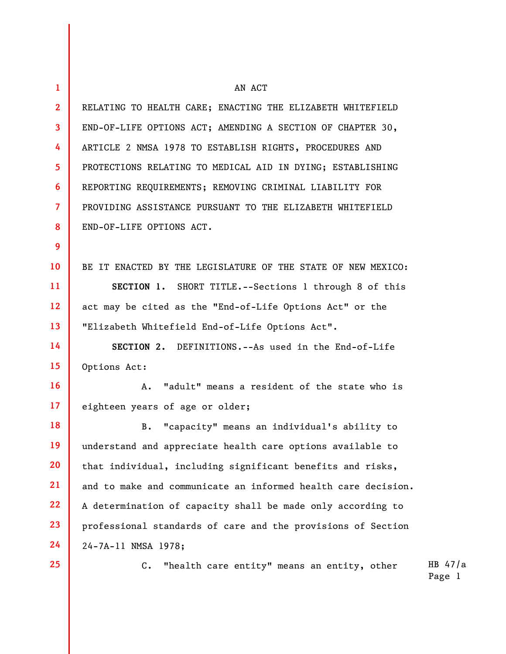| 1              | AN ACT                                                        |  |  |
|----------------|---------------------------------------------------------------|--|--|
| $\mathbf{2}$   | RELATING TO HEALTH CARE; ENACTING THE ELIZABETH WHITEFIELD    |  |  |
| $\mathbf{3}$   | END-OF-LIFE OPTIONS ACT; AMENDING A SECTION OF CHAPTER 30,    |  |  |
| 4              | ARTICLE 2 NMSA 1978 TO ESTABLISH RIGHTS, PROCEDURES AND       |  |  |
| 5              | PROTECTIONS RELATING TO MEDICAL AID IN DYING; ESTABLISHING    |  |  |
| 6              | REPORTING REQUIREMENTS; REMOVING CRIMINAL LIABILITY FOR       |  |  |
| $\overline{7}$ | PROVIDING ASSISTANCE PURSUANT TO THE ELIZABETH WHITEFIELD     |  |  |
| 8              | END-OF-LIFE OPTIONS ACT.                                      |  |  |
| 9              |                                                               |  |  |
| 10             | BE IT ENACTED BY THE LEGISLATURE OF THE STATE OF NEW MEXICO:  |  |  |
| 11             | SECTION 1. SHORT TITLE.--Sections 1 through 8 of this         |  |  |
| 12             | act may be cited as the "End-of-Life Options Act" or the      |  |  |
| 13             | "Elizabeth Whitefield End-of-Life Options Act".               |  |  |
| 14             | SECTION 2. DEFINITIONS.--As used in the End-of-Life           |  |  |
| 15             | Options Act:                                                  |  |  |
| 16             | A. "adult" means a resident of the state who is               |  |  |
| 17             | eighteen years of age or older;                               |  |  |
| 18             | "capacity" means an individual's ability to<br>В.             |  |  |
| 19             | understand and appreciate health care options available to    |  |  |
| 20             | that individual, including significant benefits and risks,    |  |  |
| 21             | and to make and communicate an informed health care decision. |  |  |
| 22             | A determination of capacity shall be made only according to   |  |  |
| 23             | professional standards of care and the provisions of Section  |  |  |
| 24             | 24-7A-11 NMSA 1978;                                           |  |  |
| 25             | $C$ .<br>"health care entity" means an entity, other          |  |  |
|                |                                                               |  |  |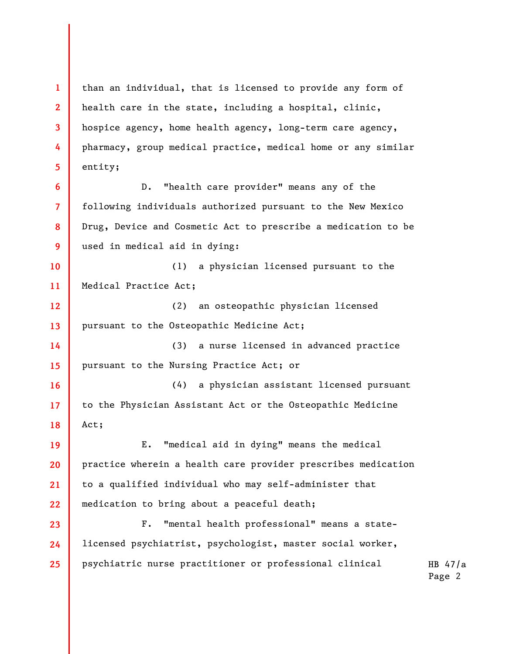1 2 3 4 5 than an individual, that is licensed to provide any form of health care in the state, including a hospital, clinic, hospice agency, home health agency, long-term care agency, pharmacy, group medical practice, medical home or any similar entity;

D. "health care provider" means any of the following individuals authorized pursuant to the New Mexico Drug, Device and Cosmetic Act to prescribe a medication to be used in medical aid in dying:

10 11 (1) a physician licensed pursuant to the Medical Practice Act;

6

7

8

9

12 13 (2) an osteopathic physician licensed pursuant to the Osteopathic Medicine Act;

14 15 (3) a nurse licensed in advanced practice pursuant to the Nursing Practice Act; or

16 17 18 (4) a physician assistant licensed pursuant to the Physician Assistant Act or the Osteopathic Medicine Act;

19 20 21 22 E. "medical aid in dying" means the medical practice wherein a health care provider prescribes medication to a qualified individual who may self-administer that medication to bring about a peaceful death;

23 24 25 F. "mental health professional" means a statelicensed psychiatrist, psychologist, master social worker, psychiatric nurse practitioner or professional clinical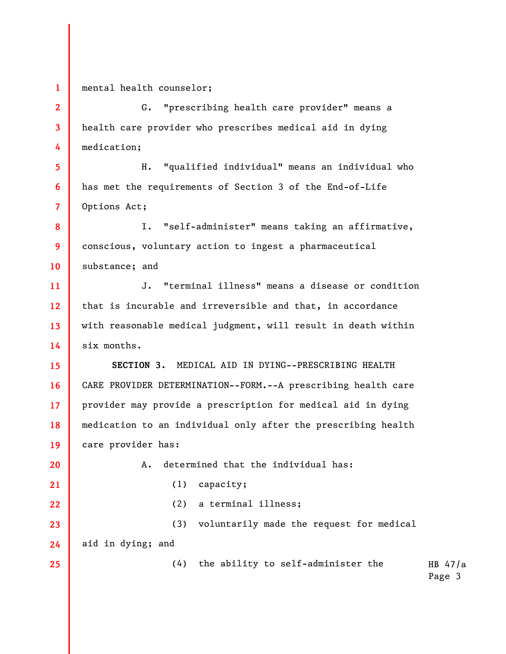1 2

3

5

6

7

20

21

22

25

mental health counselor;

4 G. "prescribing health care provider" means a health care provider who prescribes medical aid in dying medication;

H. "qualified individual" means an individual who has met the requirements of Section 3 of the End-of-Life Options Act;

8 9 10 I. "self-administer" means taking an affirmative, conscious, voluntary action to ingest a pharmaceutical substance; and

11 12 13 14 J. "terminal illness" means a disease or condition that is incurable and irreversible and that, in accordance with reasonable medical judgment, will result in death within six months.

15 16 17 18 19 SECTION 3. MEDICAL AID IN DYING--PRESCRIBING HEALTH CARE PROVIDER DETERMINATION--FORM.--A prescribing health care provider may provide a prescription for medical aid in dying medication to an individual only after the prescribing health care provider has:

A. determined that the individual has:

(1) capacity;

(2) a terminal illness;

23 24 (3) voluntarily made the request for medical aid in dying; and

(4) the ability to self-administer the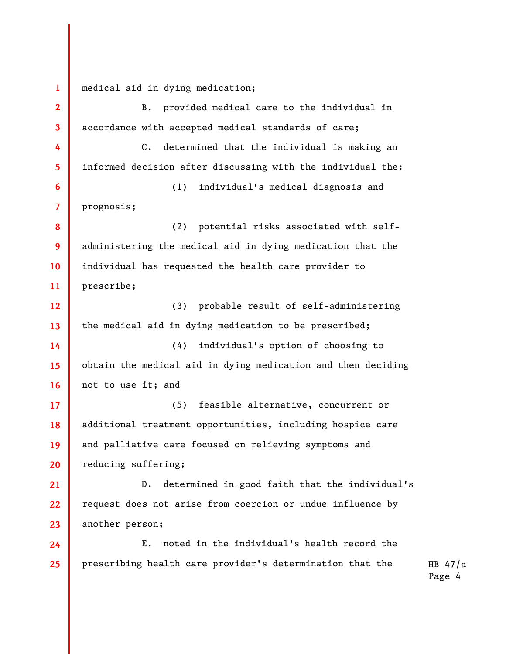1 2 3 4 5 6 7 8 9 10 11 12 13 14 15 16 17 18 19 20 21 22 23 24 25 medical aid in dying medication; B. provided medical care to the individual in accordance with accepted medical standards of care; C. determined that the individual is making an informed decision after discussing with the individual the: (1) individual's medical diagnosis and prognosis; (2) potential risks associated with selfadministering the medical aid in dying medication that the individual has requested the health care provider to prescribe; (3) probable result of self-administering the medical aid in dying medication to be prescribed; (4) individual's option of choosing to obtain the medical aid in dying medication and then deciding not to use it; and (5) feasible alternative, concurrent or additional treatment opportunities, including hospice care and palliative care focused on relieving symptoms and reducing suffering; D. determined in good faith that the individual's request does not arise from coercion or undue influence by another person; E. noted in the individual's health record the prescribing health care provider's determination that the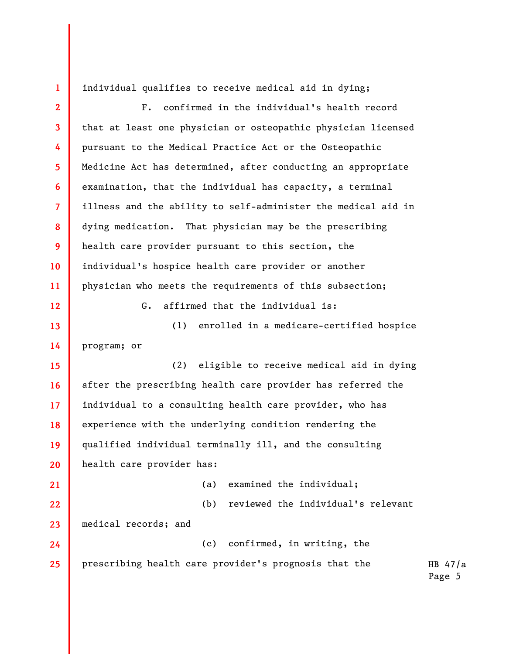1

individual qualifies to receive medical aid in dying;

2 3 4 5 6 7 8 9 10 11 12 13 14 15 16 17 18 19 20 21 22 23 24 25 F. confirmed in the individual's health record that at least one physician or osteopathic physician licensed pursuant to the Medical Practice Act or the Osteopathic Medicine Act has determined, after conducting an appropriate examination, that the individual has capacity, a terminal illness and the ability to self-administer the medical aid in dying medication. That physician may be the prescribing health care provider pursuant to this section, the individual's hospice health care provider or another physician who meets the requirements of this subsection; G. affirmed that the individual is: (1) enrolled in a medicare-certified hospice program; or (2) eligible to receive medical aid in dying after the prescribing health care provider has referred the individual to a consulting health care provider, who has experience with the underlying condition rendering the qualified individual terminally ill, and the consulting health care provider has: (a) examined the individual; (b) reviewed the individual's relevant medical records; and (c) confirmed, in writing, the prescribing health care provider's prognosis that the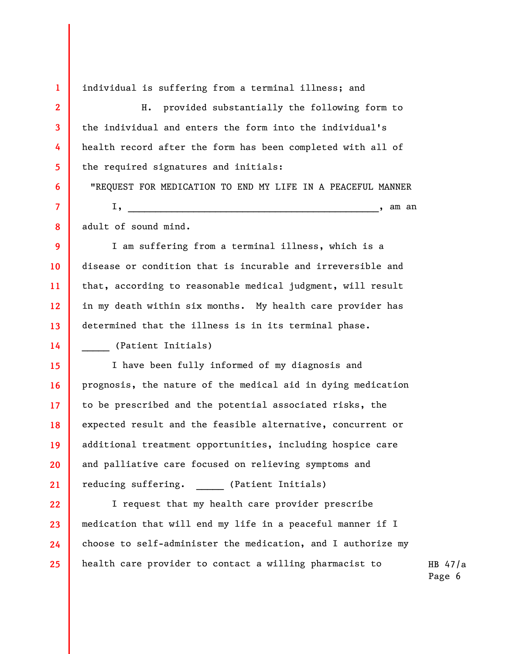individual is suffering from a terminal illness; and

H. provided substantially the following form to the individual and enters the form into the individual's health record after the form has been completed with all of the required signatures and initials:

"REQUEST FOR MEDICATION TO END MY LIFE IN A PEACEFUL MANNER  $I, \_\_$ 

adult of sound mind.

1

2

3

4

5

6

7

8

9

10

11

12

13

14

I am suffering from a terminal illness, which is a disease or condition that is incurable and irreversible and that, according to reasonable medical judgment, will result in my death within six months. My health care provider has determined that the illness is in its terminal phase. \_\_\_\_\_ (Patient Initials)

15 16 17 18 19 20 21 I have been fully informed of my diagnosis and prognosis, the nature of the medical aid in dying medication to be prescribed and the potential associated risks, the expected result and the feasible alternative, concurrent or additional treatment opportunities, including hospice care and palliative care focused on relieving symptoms and reducing suffering. \_\_\_\_\_\_ (Patient Initials)

22 23 24 25 I request that my health care provider prescribe medication that will end my life in a peaceful manner if I choose to self-administer the medication, and I authorize my health care provider to contact a willing pharmacist to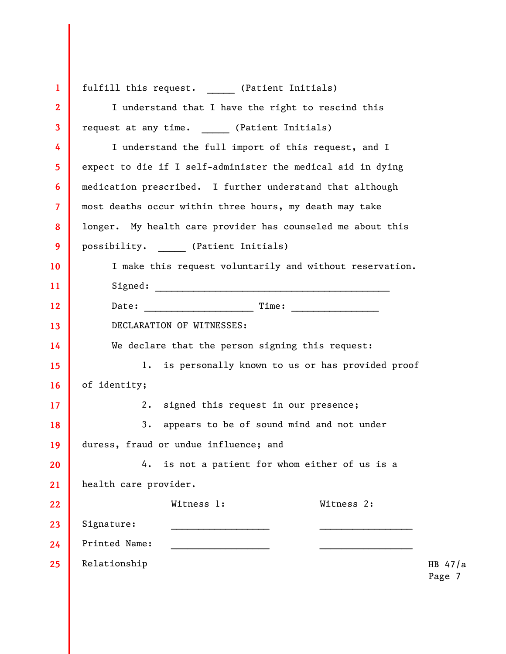| $\mathbf{1}$   | fulfill this request. (Patient Initials)                    |
|----------------|-------------------------------------------------------------|
| $\mathbf{2}$   | I understand that I have the right to rescind this          |
| $\mathbf{3}$   | request at any time. (Patient Initials)                     |
| 4              | I understand the full import of this request, and I         |
| 5              | expect to die if I self-administer the medical aid in dying |
| 6              | medication prescribed. I further understand that although   |
| $\overline{7}$ | most deaths occur within three hours, my death may take     |
| 8              | longer. My health care provider has counseled me about this |
| 9              | possibility. (Patient Initials)                             |
| 10             | I make this request voluntarily and without reservation.    |
| 11             |                                                             |
| 12             |                                                             |
| 13             | DECLARATION OF WITNESSES:                                   |
| 14             | We declare that the person signing this request:            |
| 15             | is personally known to us or has provided proof<br>1.       |
| 16             | of identity;                                                |
| 17             | 2.<br>signed this request in our presence;                  |
| 18             | 3.<br>appears to be of sound mind and not under             |
| 19             | duress, fraud or undue influence; and                       |
| 20             | is not a patient for whom either of us is a<br>4.           |
| 21             | health care provider.                                       |
| 22             | Witness 1:<br>Witness 2:                                    |
| 23             | Signature:                                                  |
| 24             | Printed Name:                                               |
| 25             | Relationship<br>HB                                          |
|                |                                                             |

 $47/a$ Page 7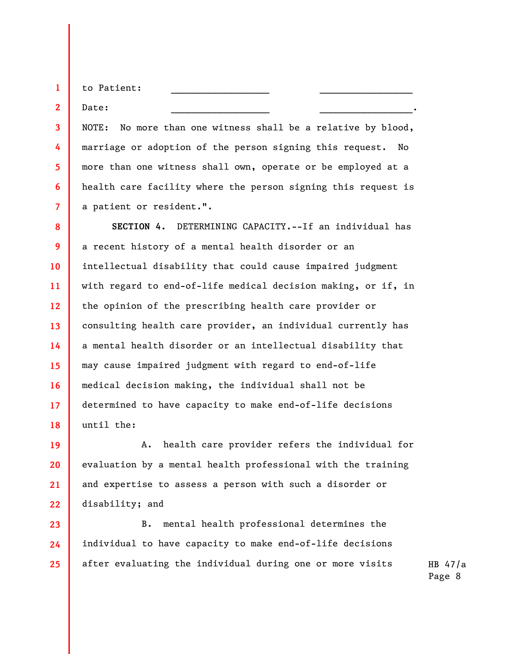to Patient:

Date: \_\_\_\_\_\_\_\_\_\_\_\_\_\_\_\_\_\_ \_\_\_\_\_\_\_\_\_\_\_\_\_\_\_\_\_.

1

2

3

4

5

6

7

NOTE: No more than one witness shall be a relative by blood, marriage or adoption of the person signing this request. No more than one witness shall own, operate or be employed at a health care facility where the person signing this request is a patient or resident.".

8 9 10 11 12 13 14 15 16 17 18 SECTION 4. DETERMINING CAPACITY.--If an individual has a recent history of a mental health disorder or an intellectual disability that could cause impaired judgment with regard to end-of-life medical decision making, or if, in the opinion of the prescribing health care provider or consulting health care provider, an individual currently has a mental health disorder or an intellectual disability that may cause impaired judgment with regard to end-of-life medical decision making, the individual shall not be determined to have capacity to make end-of-life decisions until the:

19 20 21 22 A. health care provider refers the individual for evaluation by a mental health professional with the training and expertise to assess a person with such a disorder or disability; and

23 24 25 B. mental health professional determines the individual to have capacity to make end-of-life decisions after evaluating the individual during one or more visits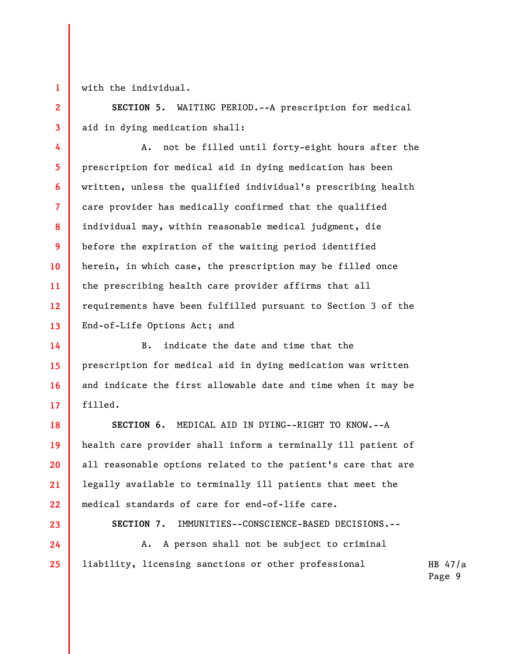with the individual.

1

2

3

SECTION 5. WAITING PERIOD.--A prescription for medical aid in dying medication shall:

4 5 6 7 8 9 10 11 12 13 A. not be filled until forty-eight hours after the prescription for medical aid in dying medication has been written, unless the qualified individual's prescribing health care provider has medically confirmed that the qualified individual may, within reasonable medical judgment, die before the expiration of the waiting period identified herein, in which case, the prescription may be filled once the prescribing health care provider affirms that all requirements have been fulfilled pursuant to Section 3 of the End-of-Life Options Act; and

B. indicate the date and time that the prescription for medical aid in dying medication was written and indicate the first allowable date and time when it may be filled.

SECTION 6. MEDICAL AID IN DYING--RIGHT TO KNOW.--A health care provider shall inform a terminally ill patient of all reasonable options related to the patient's care that are legally available to terminally ill patients that meet the medical standards of care for end-of-life care.

23 24

25

14

15

16

17

18

19

20

21

22

SECTION 7. IMMUNITIES--CONSCIENCE-BASED DECISIONS.--

A. A person shall not be subject to criminal liability, licensing sanctions or other professional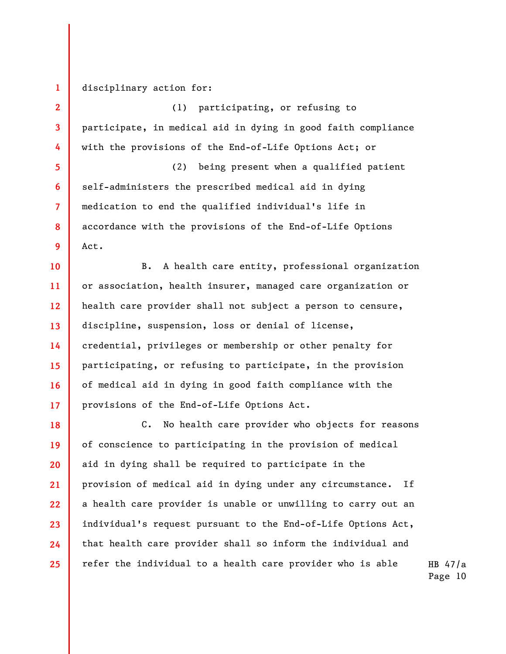disciplinary action for:

1

2

3

4

5

6

7

8

9

(1) participating, or refusing to participate, in medical aid in dying in good faith compliance with the provisions of the End-of-Life Options Act; or

(2) being present when a qualified patient self-administers the prescribed medical aid in dying medication to end the qualified individual's life in accordance with the provisions of the End-of-Life Options Act.

10 11 12 13 14 15 16 17 B. A health care entity, professional organization or association, health insurer, managed care organization or health care provider shall not subject a person to censure, discipline, suspension, loss or denial of license, credential, privileges or membership or other penalty for participating, or refusing to participate, in the provision of medical aid in dying in good faith compliance with the provisions of the End-of-Life Options Act.

18 19 20 21 22 23 24 25 C. No health care provider who objects for reasons of conscience to participating in the provision of medical aid in dying shall be required to participate in the provision of medical aid in dying under any circumstance. If a health care provider is unable or unwilling to carry out an individual's request pursuant to the End-of-Life Options Act, that health care provider shall so inform the individual and refer the individual to a health care provider who is able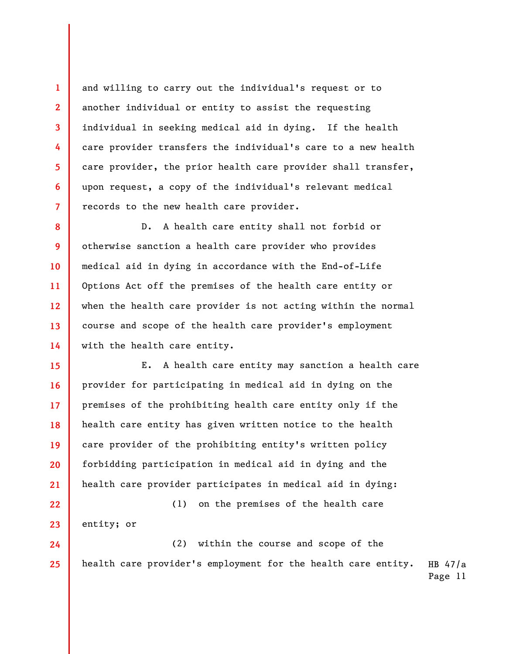and willing to carry out the individual's request or to another individual or entity to assist the requesting individual in seeking medical aid in dying. If the health care provider transfers the individual's care to a new health care provider, the prior health care provider shall transfer, upon request, a copy of the individual's relevant medical records to the new health care provider.

1

2

3

4

5

6

7

25

8 9 10 11 12 13 14 D. A health care entity shall not forbid or otherwise sanction a health care provider who provides medical aid in dying in accordance with the End-of-Life Options Act off the premises of the health care entity or when the health care provider is not acting within the normal course and scope of the health care provider's employment with the health care entity.

15 16 17 18 19 20 21 E. A health care entity may sanction a health care provider for participating in medical aid in dying on the premises of the prohibiting health care entity only if the health care entity has given written notice to the health care provider of the prohibiting entity's written policy forbidding participation in medical aid in dying and the health care provider participates in medical aid in dying:

22 23 24 (1) on the premises of the health care entity; or (2) within the course and scope of the

HB 47/a Page 11 health care provider's employment for the health care entity.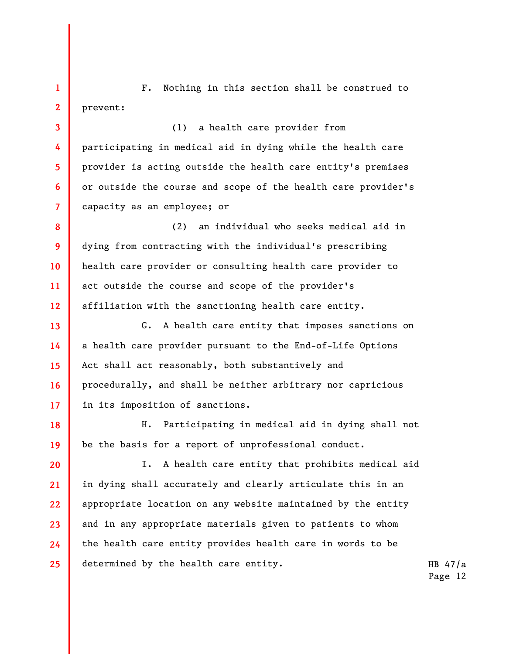1 2 F. Nothing in this section shall be construed to prevent:

3

4

5

6

7

8

9

10

11

12

13

14

15

16

17

(1) a health care provider from participating in medical aid in dying while the health care provider is acting outside the health care entity's premises or outside the course and scope of the health care provider's capacity as an employee; or

(2) an individual who seeks medical aid in dying from contracting with the individual's prescribing health care provider or consulting health care provider to act outside the course and scope of the provider's affiliation with the sanctioning health care entity.

G. A health care entity that imposes sanctions on a health care provider pursuant to the End-of-Life Options Act shall act reasonably, both substantively and procedurally, and shall be neither arbitrary nor capricious in its imposition of sanctions.

18 19 H. Participating in medical aid in dying shall not be the basis for a report of unprofessional conduct.

20 21 22 23 24 25 I. A health care entity that prohibits medical aid in dying shall accurately and clearly articulate this in an appropriate location on any website maintained by the entity and in any appropriate materials given to patients to whom the health care entity provides health care in words to be determined by the health care entity.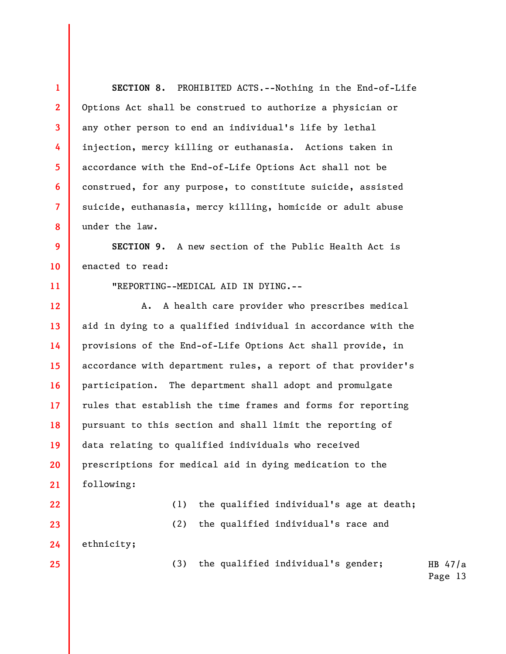HB 47/a 1 2 3 4 5 6 7 8 9 10 11 12 13 14 15 16 17 18 19 20 21 22 23 24 25 SECTION 8. PROHIBITED ACTS.--Nothing in the End-of-Life Options Act shall be construed to authorize a physician or any other person to end an individual's life by lethal injection, mercy killing or euthanasia. Actions taken in accordance with the End-of-Life Options Act shall not be construed, for any purpose, to constitute suicide, assisted suicide, euthanasia, mercy killing, homicide or adult abuse under the law. SECTION 9. A new section of the Public Health Act is enacted to read: "REPORTING--MEDICAL AID IN DYING.-- A. A health care provider who prescribes medical aid in dying to a qualified individual in accordance with the provisions of the End-of-Life Options Act shall provide, in accordance with department rules, a report of that provider's participation. The department shall adopt and promulgate rules that establish the time frames and forms for reporting pursuant to this section and shall limit the reporting of data relating to qualified individuals who received prescriptions for medical aid in dying medication to the following: (1) the qualified individual's age at death; (2) the qualified individual's race and ethnicity; (3) the qualified individual's gender;

Page 13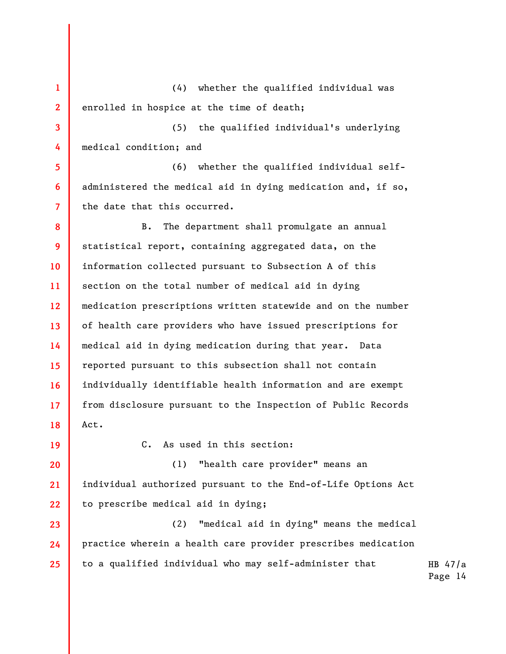1 2 (4) whether the qualified individual was enrolled in hospice at the time of death;

3 4 (5) the qualified individual's underlying medical condition; and

6 (6) whether the qualified individual selfadministered the medical aid in dying medication and, if so, the date that this occurred.

8 9 10 11 12 13 14 15 16 17 18 B. The department shall promulgate an annual statistical report, containing aggregated data, on the information collected pursuant to Subsection A of this section on the total number of medical aid in dying medication prescriptions written statewide and on the number of health care providers who have issued prescriptions for medical aid in dying medication during that year. Data reported pursuant to this subsection shall not contain individually identifiable health information and are exempt from disclosure pursuant to the Inspection of Public Records Act.

20 21 22

23

24

25

19

5

7

C. As used in this section:

(1) "health care provider" means an individual authorized pursuant to the End-of-Life Options Act to prescribe medical aid in dying;

(2) "medical aid in dying" means the medical practice wherein a health care provider prescribes medication to a qualified individual who may self-administer that